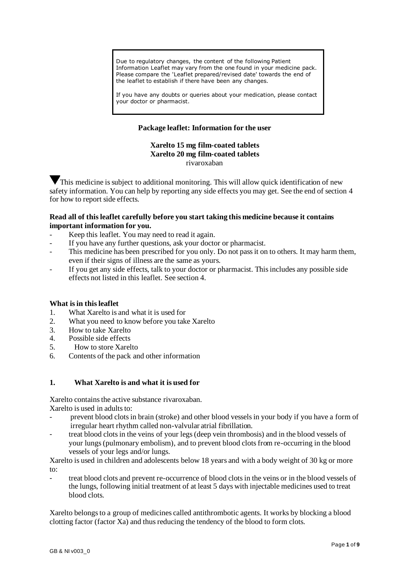Due to regulatory changes, the content of the following Patient Information Leaflet may vary from the one found in your medicine pack. Please compare the 'Leaflet prepared/revised date' towards the end of the leaflet to establish if there have been any changes.

If you have any doubts or queries about your medication, please contact your doctor or pharmacist.

# **Package leaflet: Information for the user**

### **Xarelto 15 mg film-coated tablets Xarelto 20 mg film-coated tablets** rivaroxaban

This medicine is subject to additional monitoring. This will allow quick identification of new safety information. You can help by reporting any side effects you may get. See the end of section 4 for how to report side effects.

# **Read all of this leaflet carefully before you start taking this medicine because it contains important information for you.**

- Keep this leaflet. You may need to read it again.
- If you have any further questions, ask your doctor or pharmacist.
- This medicine has been prescribed for you only. Do not pass it on to others. It may harm them, even if their signs of illness are the same as yours.
- If you get any side effects, talk to your doctor or pharmacist. This includes any possible side effects not listed in this leaflet. See section 4.

### **What is in this leaflet**

- 1. What Xarelto is and what it is used for
- 2. What you need to know before you take Xarelto
- 3. How to take Xarelto
- 4. Possible side effects
- 5. How to store Xarelto
- 6. Contents of the pack and other information

# **1. What Xarelto is and what it is used for**

Xarelto contains the active substance rivaroxaban. Xarelto is used in adults to:

- prevent blood clots in brain (stroke) and other blood vessels in your body if you have a form of irregular heart rhythm called non-valvular atrial fibrillation.
- treat blood clots in the veins of your legs (deep vein thrombosis) and in the blood vessels of your lungs (pulmonary embolism), and to prevent blood clots from re-occurring in the blood vessels of your legs and/or lungs.

Xarelto is used in children and adolescents below 18 years and with a body weight of 30 kg or more to:

- treat blood clots and prevent re-occurrence of blood clots in the veins or in the blood vessels of the lungs, following initial treatment of at least 5 days with injectable medicines used to treat blood clots.

Xarelto belongs to a group of medicines called antithrombotic agents. It works by blocking a blood clotting factor (factor Xa) and thus reducing the tendency of the blood to form clots.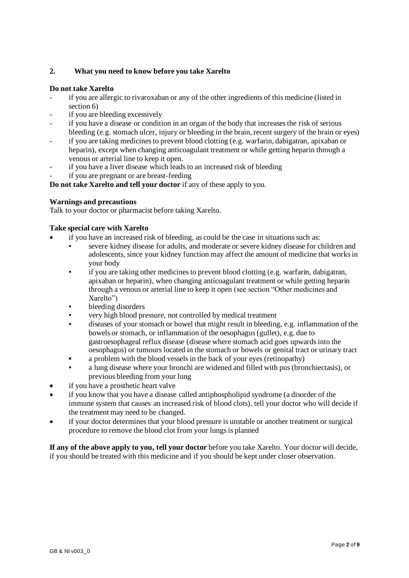# **2. What you need to know before you take Xarelto**

# **Do not take Xarelto**

- if you are allergic to rivaroxaban or any of the other ingredients of this medicine (listed in section 6)
- if you are bleeding excessively
- if you have a disease or condition in an organ of the body that increases the risk of serious bleeding (e.g. stomach ulcer, injury or bleeding in the brain, recent surgery of the brain or eyes)
- if you are taking medicines to prevent blood clotting (e.g. warfarin, dabigatran, apixaban or heparin), except when changing anticoagulant treatment or while getting heparin through a venous or arterial line to keep it open.
- if you have a liver disease which leads to an increased risk of bleeding
- if you are pregnant or are breast-feeding

**Do not take Xarelto and tell your doctor** if any of these apply to you.

# **Warnings and precautions**

Talk to your doctor or pharmacist before taking Xarelto.

# **Take special care with Xarelto**

- if you have an increased risk of bleeding, as could be the case in situations such as:
	- severe kidney disease for adults, and moderate or severe kidney disease for children and adolescents, since your kidney function may affect the amount of medicine that works in your body
	- $\mu$  if you are taking other medicines to prevent blood clotting (e.g. warfarin, dabigatran, apixaban or heparin), when changing anticoagulant treatment or while getting heparin through a venous or arterial line to keep it open (see section "Other medicines and Xarelto")
	- bleeding disorders
	- very high blood pressure, not controlled by medical treatment
	- diseases of your stomach or bowel that might result in bleeding, e.g. inflammation of the bowels or stomach, or inflammation of the oesophagus (gullet), e.g. due to gastroesophageal reflux disease (disease where stomach acid goes upwards into the oesophagus) or tumours located in the stomach or bowels or genital tract or urinary tract
	- a problem with the blood vessels in the back of your eyes (retinopathy)
	- a lung disease where your bronchi are widened and filled with pus (bronchiectasis), or previous bleeding from your lung
- if you have a prosthetic heart valve
- if you know that you have a disease called antiphospholipid syndrome (a disorder of the immune system that causes an increased risk of blood clots), tell your doctor who will decide if the treatment may need to be changed.
- if your doctor determines that your blood pressure is unstable or another treatment or surgical procedure to remove the blood clot from your lungs is planned

**If any of the above apply to you, tell your doctor** before you take Xarelto. Your doctor will decide, if you should be treated with this medicine and if you should be kept under closer observation.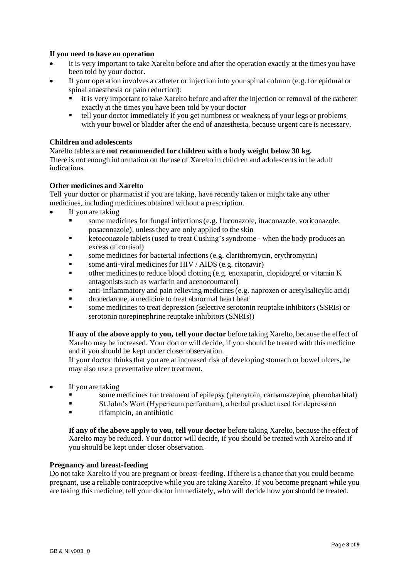### **If you need to have an operation**

- it is very important to take Xarelto before and after the operation exactly at the times you have been told by your doctor.
- If your operation involves a catheter or injection into your spinal column (e.g. for epidural or spinal anaesthesia or pain reduction):
	- it is very important to take Xarelto before and after the injection or removal of the catheter exactly at the times you have been told by your doctor
	- tell your doctor immediately if you get numbness or weakness of your legs or problems with your bowel or bladder after the end of anaesthesia, because urgent care is necessary.

# **Children and adolescents**

### Xarelto tablets are **not recommended for children with a body weight below 30 kg.**

There is not enough information on the use of Xarelto in children and adolescents in the adult indications.

# **Other medicines and Xarelto**

Tell your doctor or pharmacist if you are taking, have recently taken or might take any other medicines, including medicines obtained without a prescription.

- If you are taking
	- some medicines for fungal infections (e.g. fluconazole, itraconazole, voriconazole, posaconazole), unless they are only applied to the skin
	- ketoconazole tablets (used to treat Cushing's syndrome when the body produces an excess of cortisol)
	- some medicines for bacterial infections (e.g. clarithromycin, erythromycin)
	- some anti-viral medicines for  $HIV / AIDS$  (e.g. ritonavir)
	- other medicines to reduce blood clotting (e.g. enoxaparin, clopidogrel or vitamin K antagonists such as warfarin and acenocoumarol)
	- anti-inflammatory and pain relieving medicines (e.g. naproxen or acetylsalicylic acid)
	- dronedarone, a medicine to treat abnormal heart beat
	- some medicines to treat depression (selective serotonin reuptake inhibitors (SSRIs) or serotonin norepinephrine reuptake inhibitors (SNRIs))

**If any of the above apply to you, tell your doctor** before taking Xarelto, because the effect of Xarelto may be increased. Your doctor will decide, if you should be treated with this medicine and if you should be kept under closer observation.

If your doctor thinks that you are at increased risk of developing stomach or bowel ulcers, he may also use a preventative ulcer treatment.

- If you are taking
	- some medicines for treatment of epilepsy (phenytoin, carbamazepine, phenobarbital)
	- St John's Wort (Hypericum perforatum), a herbal product used for depression
	- rifampicin, an antibiotic

**If any of the above apply to you, tell your doctor** before taking Xarelto, because the effect of Xarelto may be reduced. Your doctor will decide, if you should be treated with Xarelto and if you should be kept under closer observation.

### **Pregnancy and breast-feeding**

Do not take Xarelto if you are pregnant or breast-feeding. If there is a chance that you could become pregnant, use a reliable contraceptive while you are taking Xarelto. If you become pregnant while you are taking this medicine, tell your doctor immediately, who will decide how you should be treated.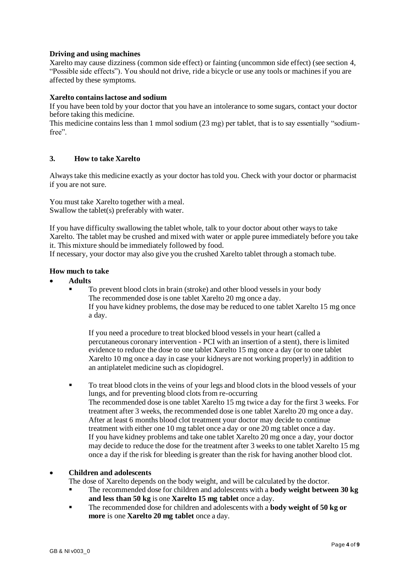# **Driving and using machines**

Xarelto may cause dizziness (common side effect) or fainting (uncommon side effect) (see section 4, "Possible side effects"). You should not drive, ride a bicycle or use any tools or machines if you are affected by these symptoms.

# **Xarelto contains lactose and sodium**

If you have been told by your doctor that you have an intolerance to some sugars, contact your doctor before taking this medicine.

This medicine contains less than 1 mmol sodium (23 mg) per tablet, that is to say essentially "sodiumfree".

### **3. How to take Xarelto**

Always take this medicine exactly as your doctor has told you. Check with your doctor or pharmacist if you are not sure.

You must take Xarelto together with a meal. Swallow the tablet(s) preferably with water.

If you have difficulty swallowing the tablet whole, talk to your doctor about other ways to take Xarelto. The tablet may be crushed and mixed with water or apple puree immediately before you take it. This mixture should be immediately followed by food.

If necessary, your doctor may also give you the crushed Xarelto tablet through a stomach tube.

### **How much to take**

- **Adults**
	- To prevent blood clots in brain (stroke) and other blood vessels in your body The recommended dose is one tablet Xarelto 20 mg once a day. If you have kidney problems, the dose may be reduced to one tablet Xarelto 15 mg once a day.

If you need a procedure to treat blocked blood vessels in your heart (called a percutaneous coronary intervention - PCI with an insertion of a stent), there is limited evidence to reduce the dose to one tablet Xarelto 15 mg once a day (or to one tablet Xarelto 10 mg once a day in case your kidneys are not working properly) in addition to an antiplatelet medicine such as clopidogrel.

▪ To treat blood clots in the veins of your legs and blood clots in the blood vessels of your lungs, and for preventing blood clots from re-occurring The recommended dose is one tablet Xarelto 15 mg twice a day for the first 3 weeks. For treatment after 3 weeks, the recommended dose is one tablet Xarelto 20 mg once a day. After at least 6 months blood clot treatment your doctor may decide to continue treatment with either one 10 mg tablet once a day or one 20 mg tablet once a day. If you have kidney problems and take one tablet Xarelto 20 mg once a day, your doctor may decide to reduce the dose for the treatment after 3 weeks to one tablet Xarelto 15 mg once a day if the risk for bleeding is greater than the risk for having another blood clot.

### • **Children and adolescents**

The dose of Xarelto depends on the body weight, and will be calculated by the doctor.

- The recommended dose for children and adolescents with a **body weight between 30 kg and less than 50 kg** is one **Xarelto 15 mg tablet** once a day.
- The recommended dose for children and adolescents with a **body weight of 50 kg or more** is one **Xarelto 20 mg tablet** once a day.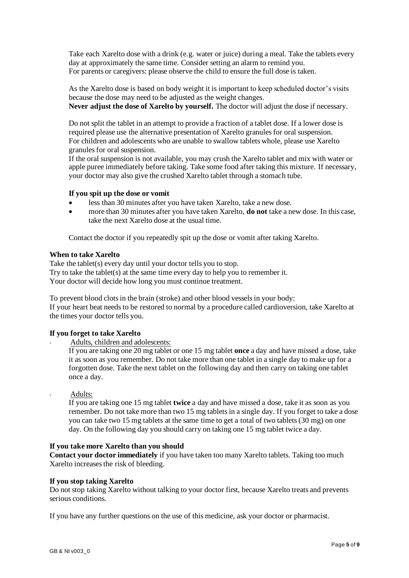Take each Xarelto dose with a drink (e.g. water or juice) during a meal. Take the tablets every day at approximately the same time. Consider setting an alarm to remind you. For parents or caregivers: please observe the child to ensure the full dose is taken.

As the Xarelto dose is based on body weight it is important to keep scheduled doctor's visits because the dose may need to be adjusted as the weight changes.

**Never adjust the dose of Xarelto by yourself.** The doctor will adjust the dose if necessary.

Do not split the tablet in an attempt to provide a fraction of a tablet dose. If a lower dose is required please use the alternative presentation of Xarelto granules for oral suspension. For children and adolescents who are unable to swallow tablets whole, please use Xarelto granules for oral suspension.

If the oral suspension is not available, you may crush the Xarelto tablet and mix with water or apple puree immediately before taking. Take some food after taking this mixture. If necessary, your doctor may also give the crushed Xarelto tablet through a stomach tube.

### **If you spit up the dose or vomit**

- less than 30 minutes after you have taken Xarelto, take a new dose.
- more than 30 minutes after you have taken Xarelto, **do not** take a new dose. In this case, take the next Xarelto dose at the usual time.

Contact the doctor if you repeatedly spit up the dose or vomit after taking Xarelto.

# **When to take Xarelto**

Take the tablet(s) every day until your doctor tells you to stop. Try to take the tablet(s) at the same time every day to help you to remember it. Your doctor will decide how long you must continue treatment.

To prevent blood clots in the brain (stroke) and other blood vessels in your body: If your heart beat needs to be restored to normal by a procedure called cardioversion, take Xarelto at the times your doctor tells you.

# **If you forget to take Xarelto**

Adults, children and adolescents:

If you are taking one 20 mg tablet or one 15 mg tablet **once** a day and have missed a dose, take it as soon as you remember. Do not take more than one tablet in a single day to make up for a forgotten dose. Take the next tablet on the following day and then carry on taking one tablet once a day.

Adults:

If you are taking one 15 mg tablet **twice** a day and have missed a dose, take it as soon as you remember. Do not take more than two 15 mg tablets in a single day. If you forget to take a dose you can take two 15 mg tablets at the same time to get a total of two tablets (30 mg) on one day. On the following day you should carry on taking one 15 mg tablet twice a day.

### **If you take more Xarelto than you should**

**Contact your doctor immediately** if you have taken too many Xarelto tablets. Taking too much Xarelto increases the risk of bleeding.

### **If you stop taking Xarelto**

Do not stop taking Xarelto without talking to your doctor first, because Xarelto treats and prevents serious conditions.

If you have any further questions on the use of this medicine, ask your doctor or pharmacist.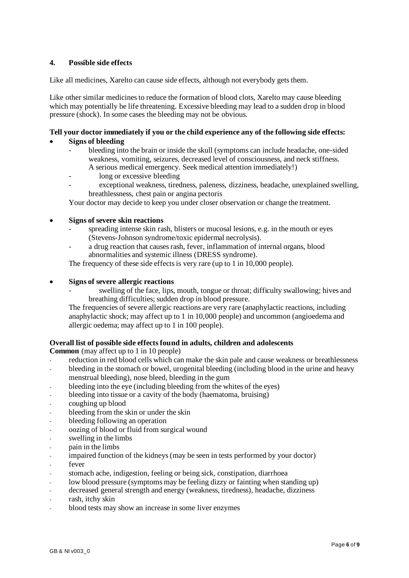# **4. Possible side effects**

Like all medicines, Xarelto can cause side effects, although not everybody gets them.

Like other similar medicines to reduce the formation of blood clots, Xarelto may cause bleeding which may potentially be life threatening. Excessive bleeding may lead to a sudden drop in blood pressure (shock). In some cases the bleeding may not be obvious.

# **Tell your doctor immediately if you or the child experience any of the following side effects:**

- **Signs of bleeding**
	- bleeding into the brain or inside the skull (symptoms can include headache, one-sided weakness, vomiting, seizures, decreased level of consciousness, and neck stiffness. A serious medical emergency. Seek medical attention immediately!)
		- long or excessive bleeding
	- exceptional weakness, tiredness, paleness, dizziness, headache, unexplained swelling, breathlessness, chest pain or angina pectoris

Your doctor may decide to keep you under closer observation or change the treatment.

# • **Signs of severe skin reactions**

- spreading intense skin rash, blisters or mucosal lesions, e.g. in the mouth or eyes (Stevens-Johnson syndrome/toxic epidermal necrolysis).
- a drug reaction that causes rash, fever, inflammation of internal organs, blood abnormalities and systemic illness (DRESS syndrome).

The frequency of these side effects is very rare (up to 1 in 10,000 people).

- **Signs of severe allergic reactions**
	- swelling of the face, lips, mouth, tongue or throat; difficulty swallowing; hives and breathing difficulties; sudden drop in blood pressure.

The frequencies of severe allergic reactions are very rare (anaphylactic reactions, including anaphylactic shock; may affect up to 1 in 10,000 people) and uncommon (angioedema and allergic oedema; may affect up to 1 in 100 people).

# **Overall list of possible side effects found in adults, children and adolescents**

**Common** (may affect up to 1 in 10 people)

- reduction in red blood cells which can make the skin pale and cause weakness or breathlessness
- bleeding in the stomach or bowel, urogenital bleeding (including blood in the urine and heavy menstrual bleeding), nose bleed, bleeding in the gum
- bleeding into the eye (including bleeding from the whites of the eyes)
- bleeding into tissue or a cavity of the body (haematoma, bruising)
- coughing up blood
- bleeding from the skin or under the skin
- bleeding following an operation
- oozing of blood or fluid from surgical wound
- swelling in the limbs
- pain in the limbs
- impaired function of the kidneys (may be seen in tests performed by your doctor)
- fever
- stomach ache, indigestion, feeling or being sick, constipation, diarrhoea
- low blood pressure (symptoms may be feeling dizzy or fainting when standing up)
- decreased general strength and energy (weakness, tiredness), headache, dizziness
- rash, itchy skin
- blood tests may show an increase in some liver enzymes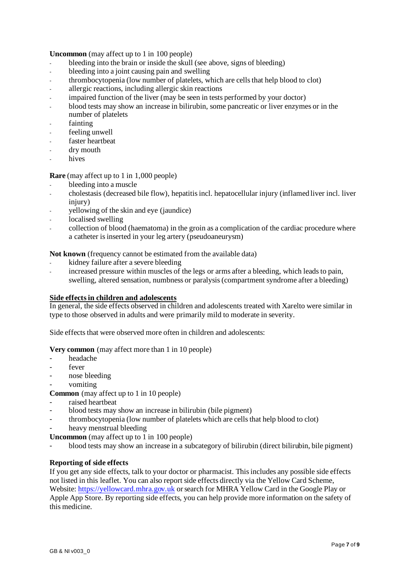**Uncommon** (may affect up to 1 in 100 people)

- bleeding into the brain or inside the skull (see above, signs of bleeding)
- bleeding into a joint causing pain and swelling
- thrombocytopenia (low number of platelets, which are cells that help blood to clot)
- allergic reactions, including allergic skin reactions
- impaired function of the liver (may be seen in tests performed by your doctor)
- blood tests may show an increase in bilirubin, some pancreatic or liver enzymes or in the number of platelets
- fainting
- feeling unwell
- faster heartbeat
- dry mouth
- hives

# **Rare** (may affect up to 1 in 1,000 people)

- bleeding into a muscle
- cholestasis (decreased bile flow), hepatitis incl. hepatocellular injury (inflamed liver incl. liver injury)
- yellowing of the skin and eye (jaundice)
- localised swelling
- collection of blood (haematoma) in the groin as a complication of the cardiac procedure where a catheter is inserted in your leg artery (pseudoaneurysm)

**Not known** (frequency cannot be estimated from the available data)

- kidney failure after a severe bleeding
- increased pressure within muscles of the legs or arms after a bleeding, which leads to pain, swelling, altered sensation, numbness or paralysis (compartment syndrome after a bleeding)

### **Side effects in children and adolescents**

In general, the side effects observed in children and adolescents treated with Xarelto were similar in type to those observed in adults and were primarily mild to moderate in severity.

Side effects that were observed more often in children and adolescents:

### **Very common** (may affect more than 1 in 10 people)

- headache
- fever
- nose bleeding
- vomiting

**Common** (may affect up to 1 in 10 people)

- raised heartbeat
- blood tests may show an increase in bilirubin (bile pigment)
- thrombocytopenia (low number of platelets which are cells that help blood to clot)
- heavy menstrual bleeding

**Uncommon** (may affect up to 1 in 100 people)

- blood tests may show an increase in a subcategory of bilirubin (direct bilirubin, bile pigment)

### **Reporting of side effects**

If you get any side effects, talk to your doctor or pharmacist. This includes any possible side effects not listed in this leaflet. You can also report side effects directly via the Yellow Card Scheme, Website: [https://yellowcard.mhra.gov.uk](https://yellowcard.mhra.gov.uk/) or search for MHRA Yellow Card in the Google Play or Apple App Store. By reporting side effects, you can help provide more information on the safety of this medicine.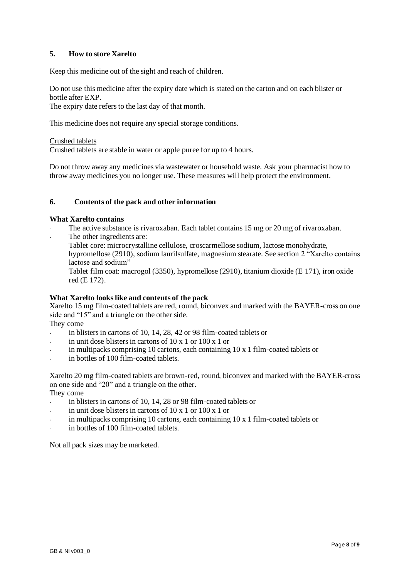# **5. How to store Xarelto**

Keep this medicine out of the sight and reach of children.

Do not use this medicine after the expiry date which is stated on the carton and on each blister or bottle after EXP.

The expiry date refers to the last day of that month.

This medicine does not require any special storage conditions.

#### Crushed tablets

Crushed tablets are stable in water or apple puree for up to 4 hours.

Do not throw away any medicines via wastewater or household waste. Ask your pharmacist how to throw away medicines you no longer use. These measures will help protect the environment.

### **6. Contents of the pack and other information**

#### **What Xarelto contains**

- The active substance is rivaroxaban. Each tablet contains 15 mg or 20 mg of rivaroxaban.
- The other ingredients are:

Tablet core: microcrystalline cellulose, croscarmellose sodium, lactose monohydrate, hypromellose (2910), sodium laurilsulfate, magnesium stearate. See section 2 "Xarelto contains lactose and sodium"

Tablet film coat: macrogol (3350), hypromellose (2910), titanium dioxide (E 171), iron oxide red (E 172).

### **What Xarelto looks like and contents of the pack**

Xarelto 15 mg film-coated tablets are red, round, biconvex and marked with the BAYER-cross on one side and "15" and a triangle on the other side.

They come

- in blisters in cartons of 10, 14, 28, 42 or 98 film-coated tablets or
- in unit dose blisters in cartons of  $10 \times 1$  or  $100 \times 1$  or
- in multipacks comprising 10 cartons, each containing 10 x 1 film-coated tablets or
- in bottles of 100 film-coated tablets.

Xarelto 20 mg film-coated tablets are brown-red, round, biconvex and marked with the BAYER-cross on one side and "20" and a triangle on the other.

They come

- in blisters in cartons of 10, 14, 28 or 98 film-coated tablets or
- in unit dose blisters in cartons of  $10 \times 1$  or  $100 \times 1$  or
- in multipacks comprising 10 cartons, each containing  $10 \times 1$  film-coated tablets or
- in bottles of 100 film-coated tablets.

Not all pack sizes may be marketed.